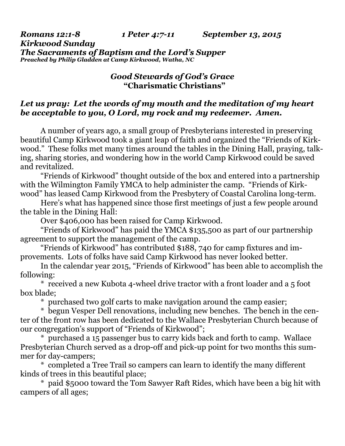*Romans 12:1-8 1 Peter 4:7-11 September 13, 2015* 

*Kirkwood Sunday The Sacraments of Baptism and the Lord's Supper Preached by Philip Gladden at Camp Kirkwood, Watha, NC* 

## *Good Stewards of God's Grace* **"Charismatic Christians"**

## *Let us pray: Let the words of my mouth and the meditation of my heart be acceptable to you, O Lord, my rock and my redeemer. Amen.*

A number of years ago, a small group of Presbyterians interested in preserving beautiful Camp Kirkwood took a giant leap of faith and organized the "Friends of Kirkwood." These folks met many times around the tables in the Dining Hall, praying, talking, sharing stories, and wondering how in the world Camp Kirkwood could be saved and revitalized.

 "Friends of Kirkwood" thought outside of the box and entered into a partnership with the Wilmington Family YMCA to help administer the camp. "Friends of Kirkwood" has leased Camp Kirkwood from the Presbytery of Coastal Carolina long-term.

 Here's what has happened since those first meetings of just a few people around the table in the Dining Hall:

Over \$406,000 has been raised for Camp Kirkwood.

 "Friends of Kirkwood" has paid the YMCA \$135,500 as part of our partnership agreement to support the management of the camp.

 "Friends of Kirkwood" has contributed \$188, 740 for camp fixtures and improvements. Lots of folks have said Camp Kirkwood has never looked better.

 In the calendar year 2015, "Friends of Kirkwood" has been able to accomplish the following:

 \* received a new Kubota 4-wheel drive tractor with a front loader and a 5 foot box blade;

\* purchased two golf carts to make navigation around the camp easier;

 \* begun Vesper Dell renovations, including new benches. The bench in the center of the front row has been dedicated to the Wallace Presbyterian Church because of our congregation's support of "Friends of Kirkwood";

 \* purchased a 15 passenger bus to carry kids back and forth to camp. Wallace Presbyterian Church served as a drop-off and pick-up point for two months this summer for day-campers;

 \* completed a Tree Trail so campers can learn to identify the many different kinds of trees in this beautiful place;

 \* paid \$5000 toward the Tom Sawyer Raft Rides, which have been a big hit with campers of all ages;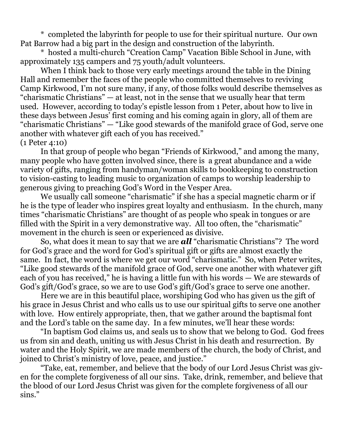\* completed the labyrinth for people to use for their spiritual nurture. Our own Pat Barrow had a big part in the design and construction of the labyrinth.

 \* hosted a multi-church "Creation Camp" Vacation Bible School in June, with approximately 135 campers and 75 youth/adult volunteers.

 When I think back to those very early meetings around the table in the Dining Hall and remember the faces of the people who committed themselves to reviving Camp Kirkwood, I'm not sure many, if any, of those folks would describe themselves as "charismatic Christians" — at least, not in the sense that we usually hear that term used. However, according to today's epistle lesson from 1 Peter, about how to live in these days between Jesus' first coming and his coming again in glory, all of them are "charismatic Christians" — "Like good stewards of the manifold grace of God, serve one another with whatever gift each of you has received." (1 Peter 4:10)

 In that group of people who began "Friends of Kirkwood," and among the many, many people who have gotten involved since, there is a great abundance and a wide variety of gifts, ranging from handyman/woman skills to bookkeeping to construction to vision-casting to leading music to organization of camps to worship leadership to generous giving to preaching God's Word in the Vesper Area.

 We usually call someone "charismatic" if she has a special magnetic charm or if he is the type of leader who inspires great loyalty and enthusiasm. In the church, many times "charismatic Christians" are thought of as people who speak in tongues or are filled with the Spirit in a very demonstrative way. All too often, the "charismatic" movement in the church is seen or experienced as divisive.

 So, what does it mean to say that we are *all* "charismatic Christians"? The word for God's grace and the word for God's spiritual gift or gifts are almost exactly the same. In fact, the word is where we get our word "charismatic." So, when Peter writes, "Like good stewards of the manifold grace of God, serve one another with whatever gift each of you has received," he is having a little fun with his words — We are stewards of God's gift/God's grace, so we are to use God's gift/God's grace to serve one another.

 Here we are in this beautiful place, worshiping God who has given us the gift of his grace in Jesus Christ and who calls us to use our spiritual gifts to serve one another with love. How entirely appropriate, then, that we gather around the baptismal font and the Lord's table on the same day. In a few minutes, we'll hear these words:

 "In baptism God claims us, and seals us to show that we belong to God. God frees us from sin and death, uniting us with Jesus Christ in his death and resurrection. By water and the Holy Spirit, we are made members of the church, the body of Christ, and joined to Christ's ministry of love, peace, and justice."

 "Take, eat, remember, and believe that the body of our Lord Jesus Christ was given for the complete forgiveness of all our sins. Take, drink, remember, and believe that the blood of our Lord Jesus Christ was given for the complete forgiveness of all our sins."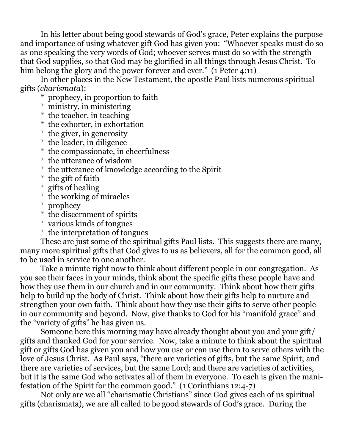In his letter about being good stewards of God's grace, Peter explains the purpose and importance of using whatever gift God has given you: "Whoever speaks must do so as one speaking the very words of God; whoever serves must do so with the strength that God supplies, so that God may be glorified in all things through Jesus Christ. To him belong the glory and the power forever and ever." (1 Peter 4:11)

 In other places in the New Testament, the apostle Paul lists numerous spiritual gifts (*charismata*):

\* prophecy, in proportion to faith

- \* ministry, in ministering
- \* the teacher, in teaching
- \* the exhorter, in exhortation
- \* the giver, in generosity
- \* the leader, in diligence
- \* the compassionate, in cheerfulness
- \* the utterance of wisdom
- \* the utterance of knowledge according to the Spirit
- \* the gift of faith
- \* gifts of healing
- \* the working of miracles
- \* prophecy
- \* the discernment of spirits
- \* various kinds of tongues
- \* the interpretation of tongues

 These are just some of the spiritual gifts Paul lists. This suggests there are many, many more spiritual gifts that God gives to us as believers, all for the common good, all to be used in service to one another.

 Take a minute right now to think about different people in our congregation. As you see their faces in your minds, think about the specific gifts these people have and how they use them in our church and in our community. Think about how their gifts help to build up the body of Christ. Think about how their gifts help to nurture and strengthen your own faith. Think about how they use their gifts to serve other people in our community and beyond. Now, give thanks to God for his "manifold grace" and the "variety of gifts" he has given us.

 Someone here this morning may have already thought about you and your gift/ gifts and thanked God for your service. Now, take a minute to think about the spiritual gift or gifts God has given you and how you use or can use them to serve others with the love of Jesus Christ. As Paul says, "there are varieties of gifts, but the same Spirit; and there are varieties of services, but the same Lord; and there are varieties of activities, but it is the same God who activates all of them in everyone. To each is given the manifestation of the Spirit for the common good." (1 Corinthians 12:4-7)

 Not only are we all "charismatic Christians" since God gives each of us spiritual gifts (charismata), we are all called to be good stewards of God's grace. During the